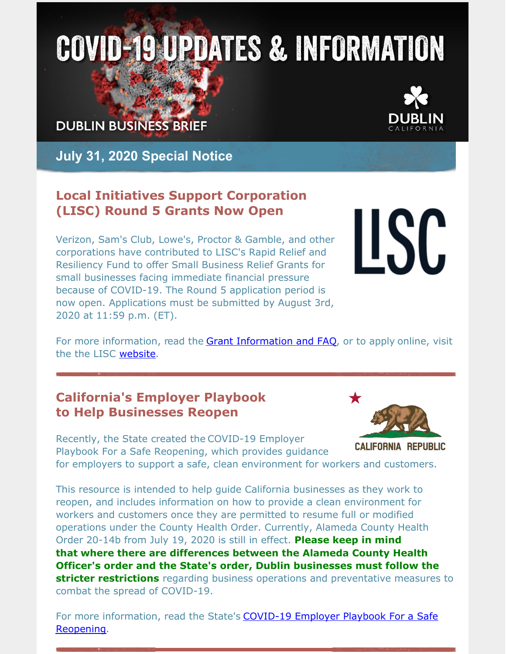# **COVID-19 UPDATES & INFORMATION**

**DUBLIN BUSINESS BRIEF** 



**July 31, 2020 Special Notice**

## **Local Initiatives Support Corporation (LISC) Round 5 Grants Now Open**

Verizon, Sam's Club, Lowe's, Proctor & Gamble, and other corporations have contributed to LISC's Rapid Relief and Resiliency Fund to offer Small Business Relief Grants for small businesses facing immediate financial pressure because of COVID-19. The Round 5 application period is now open. Applications must be submitted by August 3rd, 2020 at 11:59 p.m. (ET).

# **USC**

For more information, read the Grant [Information](https://www.lisc.org/covid-19/small-business-assistance/small-business-relief-grants/frequently-asked-questions/?utm_medium=email&utm_campaign=eAnnouncement Small Business Relief Grant Application Open Round 5 Batch 4&utm_content=eAnnouncement Small Business Relief Grant Application Open Round 5 Batch 4+CID_76bfbd142f7a77b8df201b0a1b435d8d&utm_source=Email marketing software&utm_term=Grant Information and FAQ) and FAQ, or to apply online, visit the the LISC [website](https://www.lisc.org/covid-19/small-business-assistance/small-business-relief-grants/?).

# **California's Employer Playbook to Help Businesses Reopen**

Recently, the State created the COVID-19 Employer Playbook For a Safe Reopening, which provides guidance



**CALIFORNIA REPUBLIC** 

for employers to support a safe, clean environment for workers and customers.

This resource is intended to help guide California businesses as they work to reopen, and includes information on how to provide a clean environment for workers and customers once they are permitted to resume full or modified operations under the County Health Order. Currently, Alameda County Health Order 20-14b from July 19, 2020 is still in effect. **Please keep in mind that where there are differences between the Alameda County Health Officer's order and the State's order, Dublin businesses must follow the stricter restrictions** regarding business operations and preventative measures to combat the spread of COVID-19.

For more [information,](https://files.covid19.ca.gov/pdf/employer-playbook-for-safe-reopening--en.pdf) read the State's **COVID-19 Employer Playbook For a Safe** Reopening.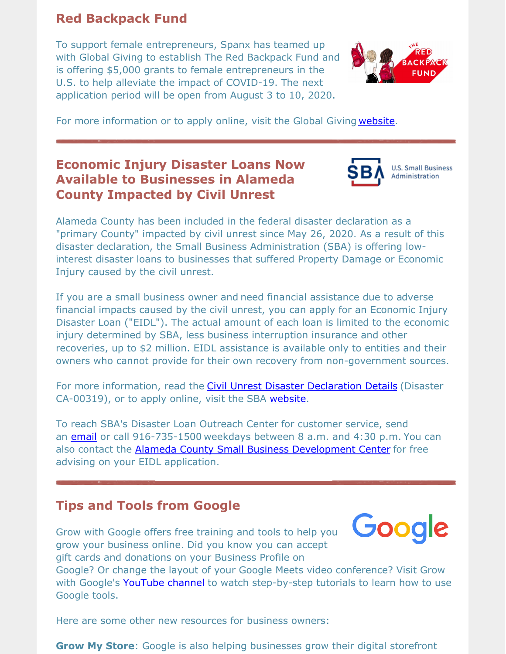#### **Red Backpack Fund**

To support female entrepreneurs, Spanx has teamed up with Global Giving to establish The Red Backpack Fund and is offering \$5,000 grants to female entrepreneurs in the U.S. to help alleviate the impact of COVID-19. The next application period will be open from August 3 to 10, 2020.



For more information or to apply online, visit the Global Giving [website](https://www.globalgiving.org/red-backpack-fund-faq/).

# **Economic Injury Disaster Loans Now Available to Businesses in Alameda County Impacted by Civil Unrest**



**U.S. Small Business** 

Alameda County has been included in the federal disaster declaration as a "primary County" impacted by civil unrest since May 26, 2020. As a result of this disaster declaration, the Small Business Administration (SBA) is offering lowinterest disaster loans to businesses that suffered Property Damage or Economic Injury caused by the civil unrest.

If you are a small business owner and need financial assistance due to adverse financial impacts caused by the civil unrest, you can apply for an Economic Injury Disaster Loan ("EIDL"). The actual amount of each loan is limited to the economic injury determined by SBA, less business interruption insurance and other recoveries, up to \$2 million. EIDL assistance is available only to entities and their owners who cannot provide for their own recovery from non-government sources.

For more information, read the Civil Unrest Disaster [Declaration](https://disasterloan.sba.gov/ela/Declarations/DeclarationDetails?declNumber=6067113&direct=false) Details (Disaster CA-00319), or to apply online, visit the SBA [website](https://disasterloanassistance.sba.gov/).

To reach SBA's Disaster Loan Outreach Center for customer service, send an [email](mailto:FOCWAssistance@sba.gov) or call 916-735-1500 weekdays between 8 a.m. and 4:30 p.m. You can also contact the **Alameda County Small Business [Development](https://www.acsbdc.org/) Center** for free advising on your EIDL application.

#### **Tips and Tools from Google**

Grow with Google offers free training and tools to help you



grow your business online. Did you know you can accept gift cards and donations on your Business Profile on

Google? Or change the layout of your Google Meets video conference? Visit Grow with Google's [YouTube](https://www.youtube.com/channel/UCpd0xtuhhWwUug1bk84usiA) channel to watch step-by-step tutorials to learn how to use Google tools.

Here are some other new resources for business owners:

**Grow My Store**: Google is also helping businesses grow their digital storefront